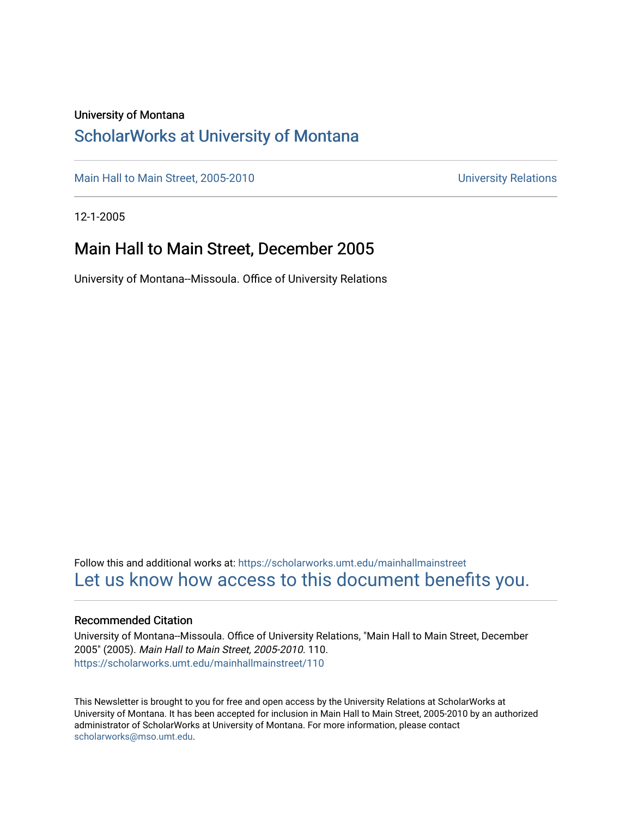#### University of Montana

### [ScholarWorks at University of Montana](https://scholarworks.umt.edu/)

[Main Hall to Main Street, 2005-2010](https://scholarworks.umt.edu/mainhallmainstreet) Main Hall to Main Street, 2005-2010

12-1-2005

#### Main Hall to Main Street, December 2005

University of Montana--Missoula. Office of University Relations

Follow this and additional works at: [https://scholarworks.umt.edu/mainhallmainstreet](https://scholarworks.umt.edu/mainhallmainstreet?utm_source=scholarworks.umt.edu%2Fmainhallmainstreet%2F110&utm_medium=PDF&utm_campaign=PDFCoverPages) [Let us know how access to this document benefits you.](https://goo.gl/forms/s2rGfXOLzz71qgsB2) 

#### Recommended Citation

University of Montana--Missoula. Office of University Relations, "Main Hall to Main Street, December 2005" (2005). Main Hall to Main Street, 2005-2010. 110. [https://scholarworks.umt.edu/mainhallmainstreet/110](https://scholarworks.umt.edu/mainhallmainstreet/110?utm_source=scholarworks.umt.edu%2Fmainhallmainstreet%2F110&utm_medium=PDF&utm_campaign=PDFCoverPages)

This Newsletter is brought to you for free and open access by the University Relations at ScholarWorks at University of Montana. It has been accepted for inclusion in Main Hall to Main Street, 2005-2010 by an authorized administrator of ScholarWorks at University of Montana. For more information, please contact [scholarworks@mso.umt.edu.](mailto:scholarworks@mso.umt.edu)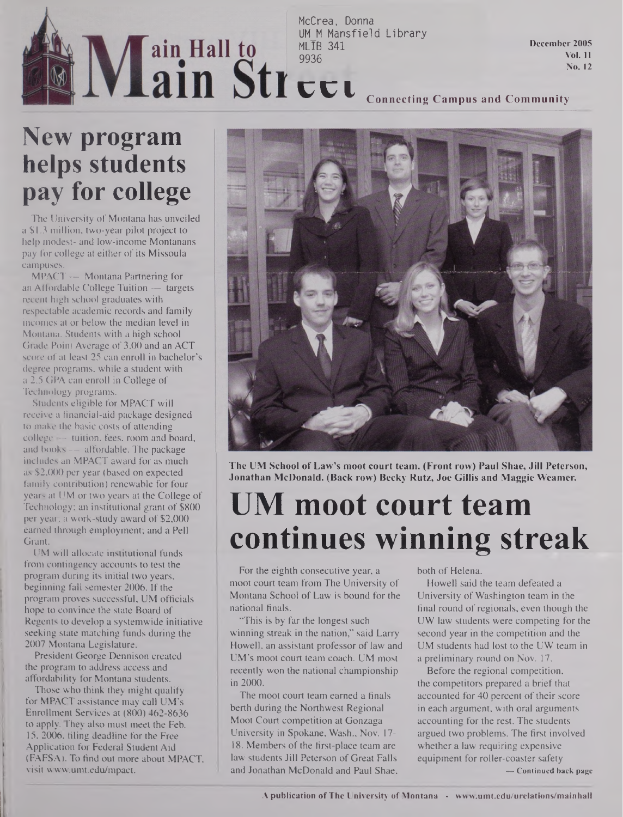# MLIB 341 9936

McCrea, Donna<br>UM M Mansfield Library UM\_M Mansfield Library

**December 2005 Vol. 11 No. 12**

## CCl **Connecting Campus and Community**

### **New program helps students pay for college**

The University of Montana has unveiled a \$1.3 million, two-year pilot project to help modest- and low-income Montanans pay for college at either of its Missoula campuses.

MPACT — Montana Partnering for an Affordable College Tuition — targets recent high school graduates with respectable academic records and family incomes at or below the median level in Montana. Students with a high school Grade Point Average of 3.00 and an ACT score of at least 25 can enroll in bachelor's degree programs, while a student with a 2.5 GPA can enroll in College of Technology programs.

Students eligible for MPACT will receive a financial-aid package designed to make the basic costs of attending college —- tuition, fees, room and board, and books — affordable. The package includes an MPACT award for as much as \$2,000 per year (based on expected family contribution) renewable for four years at UM or two years at the College of Technology; an institutional grant of \$800 per year; a work-study award of \$2,000 earned through employment; and a Pell Grant.

UM will allocate institutional funds from contingency accounts to test the program during its initial two years, beginning fall semester 2006. If the program proves successful, UM officials hope to convince the state Board of Regents to develop a systemwide initiative seeking state matching funds during the 2007 Montana Legislature.

President George Dennison created the program to address access and affordability for Montana students.

Those who think they might qualify for MPACT assistance may call UM's Enrollment Services at (800) 462-8636 to apply. They also must meet the Feb. 15, 2006, filing deadline for the Free Application for Federal Student Aid (FAFSA). To find out more about MPACT, visit [www.umt.edu/mpact](http://www.umt.edu/mpact).



**The UM School of Law's moot court team. (Front row) Paul Shae, Jill Peterson, Jonathan McDonald. (Back row) Becky Rutz, Joe Gillis and Maggie Weamer.**

## **UM moot court team continues winning streak**

For the eighth consecutive year, a moot court team from The University of Montana School of Law is bound for the national finals.

"This is by far the longest such winning streak in the nation," said Larry Howell, an assistant professor of law and UM's moot court team coach. UM most recently won the national championship in 2000.

The moot court team earned a finals berth during the Northwest Regional Moot Court competition at Gonzaga University in Spokane, Wash., Nov. 17- 18. Members of the first-place team are law students Jill Peterson of Great Falls and Jonathan McDonald and Paul Shae, both of Helena.

Howell said the team defeated a University of Washington team in the final round of regionals, even though the UW law students were competing for the second year in the competition and the UM students had lost to the UW team in a preliminary round on Nov. 17.

Before the regional competition, the competitors prepared a brief that accounted for 40 percent of their score in each argument, with oral arguments accounting for the rest. The students argued two problems. The first involved whether a law requiring expensive equipment for roller-coaster safety

**— Continued back page**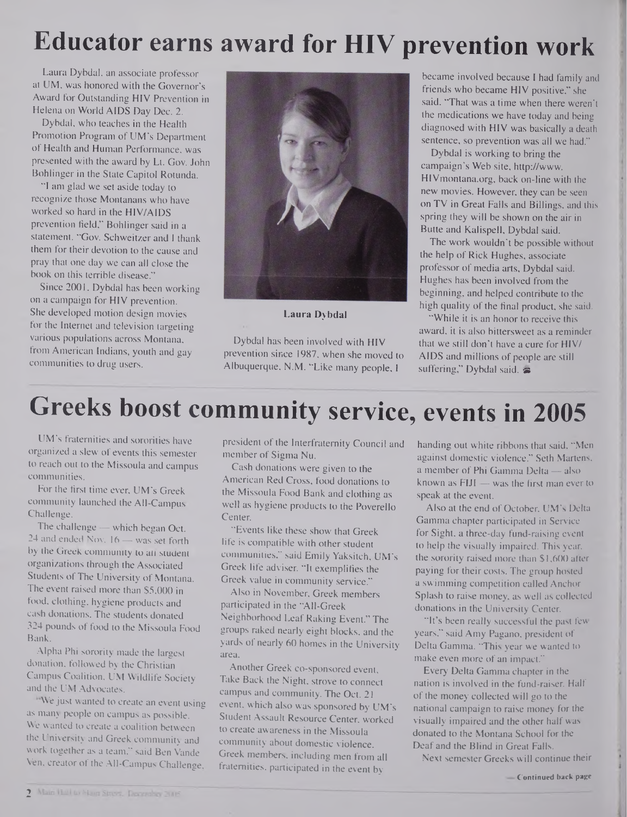## **Educator earns award for HIV prevention work**

Laura Dybdal, an associate professor at UM, was honored with the Governor's Award for Outstanding HIV Prevention in Helena on World AIDS Day Dec. 2.

Dybdal, who teaches in the Health Promotion Program of UM's Department of Health and Human Performance, was presented with the award by Lt. Gov. John Bohlinger in the State Capitol Rotunda.

"I am glad we set aside today to recognize those Montanans who have worked so hard in the HIV/AIDS prevention field," Bohlinger said in a statement. "Gov. Schweitzer and <sup>I</sup> thank them for their devotion to the cause and pray that one day we can all close the book on this terrible disease."

Since 2001, Dybdal has been working on a campaign for HIV prevention. She developed motion design movies for the Internet and television targeting various populations across Montana, from American Indians, youth and gay communities to drug users.



**Laura Dybdal**

Dybdal has been involved with HIV prevention since 1987, when she moved to Albuquerque, N.M. "Like many people, <sup>I</sup>

became involved because I had family and friends who became HIV positive," she said. "That was a time when there weren'<sup>t</sup> the medications we have today and being diagnosed with HIV was basically a death sentence, so prevention was all we had."

Dybdal is working to bring the campaign's Web site, http://www. <HIVmontana.org>, back on-line with the new movies. However, they can be seen on TV in Great Falls and Billings, and this spring they will be shown on the air in Butte and Kalispell, Dybdal said.

The work wouldn't be possible without the help of Rick Hughes, associate professor of media arts, Dybdal said. Hughes has been involved from the beginning, and helped contribute to the high quality of the final product, she said.

"While it is an honor to receive this award, it is also bittersweet as a reminder that we still don't have a cure for HIV/ AIDS and millions of people are still suffering," Dybdal said.  $\equiv$ 

## **Greeks boost community service, events in 2005**

UM's fraternities and sororities have organized a slew of events this semester to reach out to the Missoula and campus communities.

For the first time ever, UM's Greek community launched the All-Campus Challenge.

The challenge — which began Oct. 24 and ended Nov. 16 — was set forth by the Greek community to ati student organizations through the Associated Students of The University of Montana. The event raised more than \$5,000 in food, clothing, hygiene products and cash donations. The students donated 324 pounds of food to the Missoula Food Bank.

Alpha Phi sorority made the largest donation, followed by the Christian Campus Coalition, UM Wildlife Society and the UM Advocates.

We just wanted to create an event using as many people on campus as possible. We wanted to create a coalition between the University and Greek community and work together as a team," said Ben Vande Ven, creator of the All-Campus Challenge,

president of the Interfraternity Council and member of Sigma Nu.

Cash donations were given to the American Red Cross, food donations to the Missoula Food Bank and clothing as well as hygiene products to the Poverello Center.

"Events like these show that Greek life is compatible with other student communities," said Emily Yaksitch, UM's Greek life adviser. "It exemplifies the Greek value in community service."

Also in November, Greek members participated in the "All-Greek Neighborhood Leaf Raking Event." The groups raked nearly eight blocks, and the yards of nearly 60 homes in the University area.

Another Greek co-sponsored event, Take Back the Night, strove to connect campus and community. The Oct. 21 event, which also was sponsored by UM's Student Assault Resource Center, worked to create awareness in the Missoula community about domestic violence. Greek members, including men from all fraternities, participated in the event by

handing out white ribbons that said, "Men against domestic violence." Seth Martens, a member of Phi Gamma Delta — also known as FIJI — was the first man ever to speak at the event.

Also at the end of October, UM's Delta Gamma chapter participated in Service for Sight, a three-day fund-raising event to help the visually impaired. This year, the sorority raised more than \$1,600 after paying for their costs. The group hosted a swimming competition called Anchor Splash to raise money, as well as collected donations in the University Center.

"It's been really successful the past few years," said Amy Pagano, president of Delta Gamma. "This year we wanted to make even more of an impact."

Every Delta Gamma chapter in the nation is involved in the fund-raiser. Half of the money collected will go to the national campaign to raise money for the visually impaired and the other half was donated to the Montana School for the Deaf and the Blind in Great Falls.

Next semester Greeks will continue their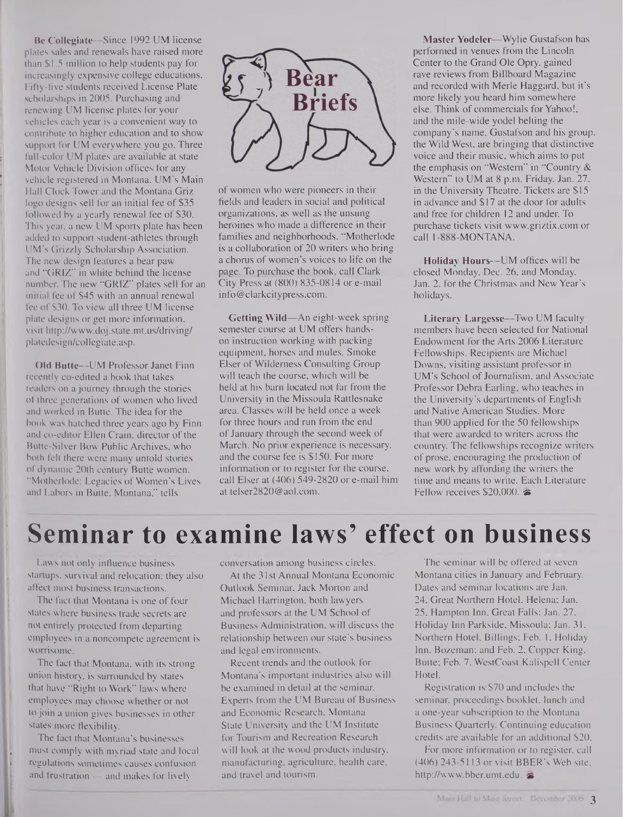Be Collegiate—Since 1992 UM license plates sales and renewals have raised more than \$1.5 million to help students pay for increasingly expensive college educations. Fifty-five students received License Plate scholarships in 2005. Purchasing and renewing UM license plates for your vehicles each year is a convenient way to contribute to higher education and to show support for UM everywhere you go. Three full-color UM plates are available at state Motor Vehicle Division offices for any vehicle registered in Montana. UM's Main Hall Clock Tower and the Montana Griz logo designs sell for an initial fee of \$35 followed by a yearly renewal fee of \$30. This year, a new UM sports plate has been added to support student-athletes through UM's Grizzly Scholarship Association. The new design features a bear paw and "GRIZ" in white behind the license number. The new "GRIZ" plates sell for an initial fee of \$45 with an annual renewal fee of \$30. To view all three UM license plate designs or get more information, visit <http://www.doj.state.mt.us/driving/> platedesign/collegiate.asp.

Old Butte—UM Professor Janet Finn recently co-edited a book that takes readers on a journey through the stories of three generations of women who lived and worked in Butte. The idea for the book was hatched three years ago by Finn and co-editor Ellen Crain, director of the Butte-Silver Bow Public Archives, who both felt there were many untold stories of dynamic 20th century Butte women. "Motherlode: Legacies of Women's Lives and Labors in Butte, Montana," tells



of women who were pioneers in their fields and leaders in social and political organizations, as well as the unsung heroines who made a difference in their families and neighborhoods. "Motherlode is a collaboration of 20 writers who bring a chorus of women's voices to life on the page. To purchase the book, call Clark City Press at (800) 835-0814 or e-mail [info@clarkcitypress.com](mailto:info@clarkcitypress.com).

Getting Wild—An eight-week spring semester course at UM offers handson instruction working with packing equipment, horses and mules. Smoke Elser of Wilderness Consulting Group will teach the course, which will be held at his barn located not far from the University in the Missoula Rattlesnake area. Classes will be held once a week for three hours and run from the end of January through the second week of March. No prior experience is necessary, and the course fee is \$150. For more information or to register for the course, call Elser at (406) 549-2820 or e-mail him at [telser2820@aol.com](mailto:telser2820@aol.com).

Master Yodeler—Wylie Gustafson has performed in venues from the Lincoln Center to the Grand Ole Opry, gained rave reviews from Billboard Magazine and recorded with Merle Haggard, but it's more likely you heard him somewhere else. Think of commercials for Yahoo!, and the mile-wide yodel belting the company's name. Gustafson and his group, the Wild West, are bringing that distinctive voice and their music, which aims to put the emphasis on "Western" in "Country & Western" to UM at 8 p.m. Friday, Jan. 27, in the University Theatre. Tickets are \$15 in advance and \$17 at the door for adults and free for children 12 and under. To purchase tickets visit [www.griztix.com](http://www.griztix.com) or call 1-888-MONTANA.

Holiday Hours—UM offices will be closed Monday, Dec. 26, and Monday, Jan. 2, for the Christmas and New Year's holidays.

Literary Largesse—Two UM faculty members have been selected for National Endowment for the Arts 2006 Literature Fellowships. Recipients are Michael Downs, visiting assistant professor in UM's School of Journalism, and Associate Professor Debra Earling, who teaches in the University's departments of English and Native American Studies. More than 900 applied for the 50 fellowships that were awarded to writers across the country. The fellowships recognize writers of prose, encouraging the production of new work by affording the writers the time and means to write. Each Literature Fellow receives \$20,000. &

### **Seminar to examine laws' effect on business**

Laws not only influence business startups, survival and relocation; they also affect most business transactions.

The fact that Montana is one of four states where business trade secrets are not entirely protected from departing employees in a noncompete agreement is worrisome.

The fact that Montana, with its strong union history, is surrounded by states that have "Right to Work" laws where employees may choose whether or not to join a union gives businesses in other states more flexibility.

The fact that Montana's businesses must comply with myriad state and local <sup>i</sup> regulations sometimes causes confusion and frustration — and makes for lively

conversation among business circles.

At the 31st Annual Montana Economic Outlook Seminar, Jack Morton and Michael Harrington, both lawyers and professors at the UM School of Business Administration, will discuss the relationship between our state's business and legal environments.

Recent trends and the outlook for Montana's important industries also will be examined in detail at the seminar. Experts from the UM Bureau of Business and Economic Research, Montana State University and the UM Institute for Tourism and Recreation Research will look at the wood products industry, manufacturing, agriculture, health care, and travel and tourism.

The seminar will be offered at seven Montana cities in January and February. Dates and seminar locations are Jan. 24, Great Northern Hotel, Helena; Jan. 25, Hampton Inn, Great Falls; Jan. 27, Holiday Inn Parkside, Missoula; Jan. 31, Northern Hotel, Billings; Feb. 1, Holiday Inn, Bozeman; and Feb. 2, Copper King, Butte; Feb. 7, WestCoast Kalispell Center Hotel.

Registration is \$70 and includes the seminar, proceedings booklet, lunch and a one-year subscription to the Montana Business Quarterly. Continuing education credits are available for an additional \$20.

For more information or to register, call (406) 243-5113 or visit BBER's Web site, <http://www.bber.umt.edu>.